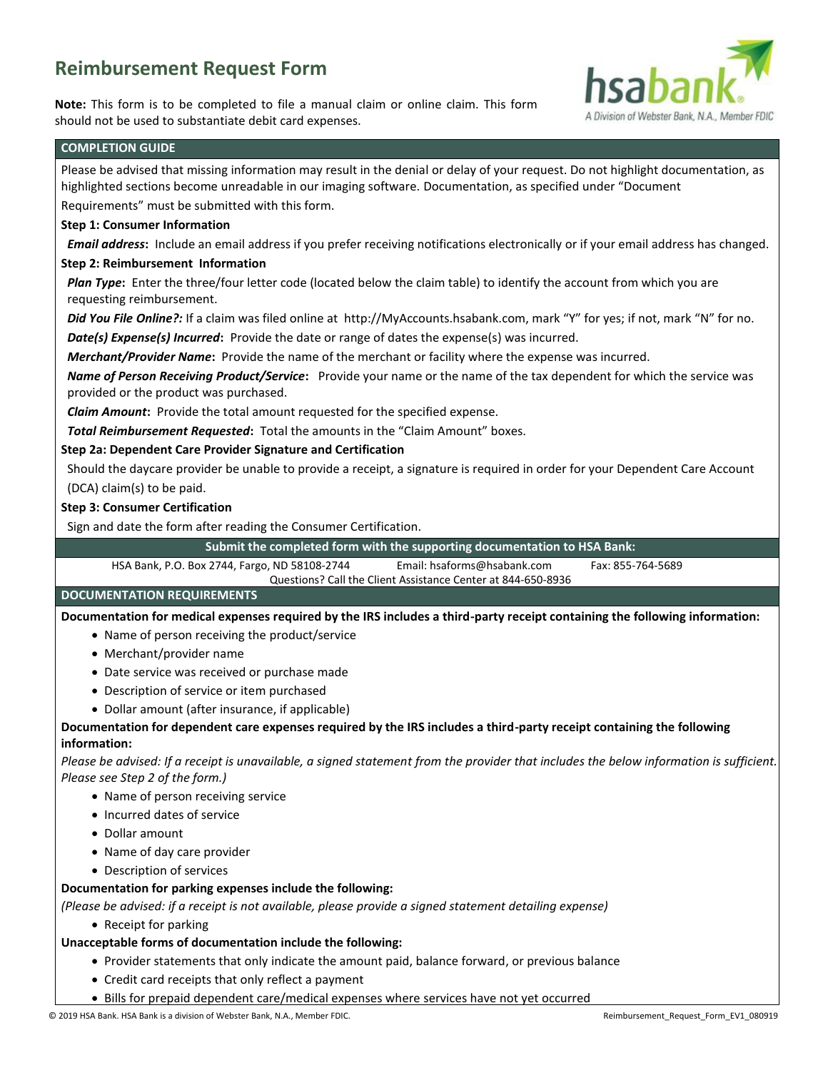## **Reimbursement Request Form**

**Note:** This form is to be completed to file a manual claim or online claim. This form should not be used to substantiate debit card expenses.



## **COMPLETION GUIDE**

Please be advised that missing information may result in the denial or delay of your request. Do not highlight documentation, as highlighted sections become unreadable in our imaging software. Documentation, as specified under "Document Requirements" must be submitted with this form. **Step 1: Consumer Information** *Email address***:** Include an email address if you prefer receiving notifications electronically or if your email address has changed. **Step 2: Reimbursement Information** *Plan Type***:** Enter the three/four letter code (located below the claim table) to identify the account from which you are requesting reimbursement. *Did You File Online?:* If a claim was filed online at http://MyAccounts.hsabank.com, mark "Y" for yes; if not, mark "N" for no. *Date(s) Expense(s) Incurred***:** Provide the date or range of dates the expense(s) was incurred. *Merchant/Provider Name***:** Provide the name of the merchant or facility where the expense was incurred. *Name of Person Receiving Product/Service***:** Provide your name or the name of the tax dependent for which the service was provided or the product was purchased. *Claim Amount***:** Provide the total amount requested for the specified expense. *Total Reimbursement Requested***:** Total the amounts in the "Claim Amount" boxes. **Step 2a: Dependent Care Provider Signature and Certification** Should the daycare provider be unable to provide a receipt, a signature is required in order for your Dependent Care Account (DCA) claim(s) to be paid. **Step 3: Consumer Certification** Sign and date the form after reading the Consumer Certification. **Submit the completed form with the supporting documentation to HSA Bank:** HSA Bank, P.O. Box 2744, Fargo, ND 58108-2744 Email: hsaforms@hsabank.com Fax: 855-764-5689 Questions? Call the Client Assistance Center at 844-650-8936 **DOCUMENTATION REQUIREMENTS Documentation for medical expenses required by the IRS includes a third-party receipt containing the following information:** Name of person receiving the product/service Merchant/provider name Date service was received or purchase made Description of service or item purchased Dollar amount (after insurance, if applicable) **Documentation for dependent care expenses required by the IRS includes a third-party receipt containing the following information:** *Please be advised: If a receipt is unavailable, a signed statement from the provider that includes the below information is sufficient. Please see Step 2 of the form.)* • Name of person receiving service • Incurred dates of service Dollar amount • Name of day care provider Description of services **Documentation for parking expenses include the following:** *(Please be advised: if a receipt is not available, please provide a signed statement detailing expense)* • Receipt for parking **Unacceptable forms of documentation include the following:** • Provider statements that only indicate the amount paid, balance forward, or previous balance Credit card receipts that only reflect a payment

Bills for prepaid dependent care/medical expenses where services have not yet occurred